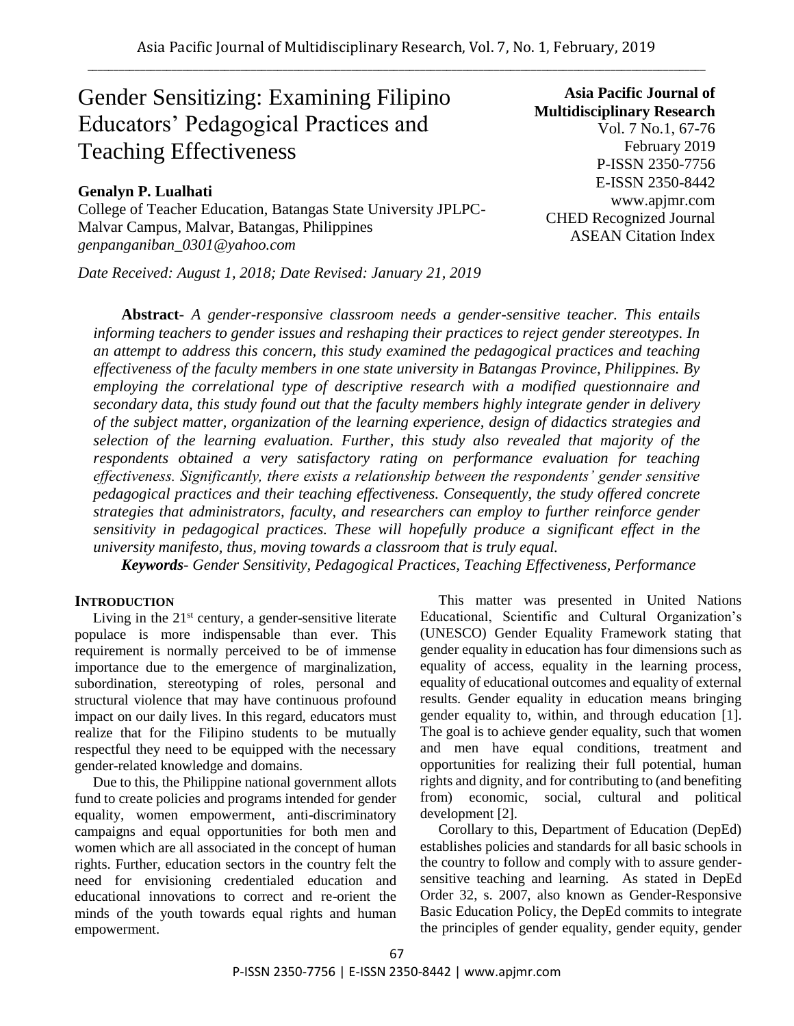# Gender Sensitizing: Examining Filipino Educators' Pedagogical Practices and Teaching Effectiveness

# **Genalyn P. Lualhati**

College of Teacher Education, Batangas State University JPLPC-Malvar Campus, Malvar, Batangas, Philippines *genpanganiban\_0301@yahoo.com*

*Date Received: August 1, 2018; Date Revised: January 21, 2019*

**Asia Pacific Journal of Multidisciplinary Research** Vol. 7 No.1, 67-76 February 2019 P-ISSN 2350-7756 E-ISSN 2350-8442 www.apjmr.com CHED Recognized Journal ASEAN Citation Index

**Abstract**- *A gender-responsive classroom needs a gender-sensitive teacher. This entails informing teachers to gender issues and reshaping their practices to reject gender stereotypes. In an attempt to address this concern, this study examined the pedagogical practices and teaching effectiveness of the faculty members in one state university in Batangas Province, Philippines. By employing the correlational type of descriptive research with a modified questionnaire and secondary data, this study found out that the faculty members highly integrate gender in delivery of the subject matter, organization of the learning experience, design of didactics strategies and selection of the learning evaluation. Further, this study also revealed that majority of the respondents obtained a very satisfactory rating on performance evaluation for teaching effectiveness. Significantly, there exists a relationship between the respondents' gender sensitive pedagogical practices and their teaching effectiveness. Consequently, the study offered concrete strategies that administrators, faculty, and researchers can employ to further reinforce gender sensitivity in pedagogical practices. These will hopefully produce a significant effect in the university manifesto, thus, moving towards a classroom that is truly equal.*

*Keywords- Gender Sensitivity, Pedagogical Practices, Teaching Effectiveness, Performance* 

#### **INTRODUCTION**

Living in the  $21<sup>st</sup>$  century, a gender-sensitive literate populace is more indispensable than ever. This requirement is normally perceived to be of immense importance due to the emergence of marginalization, subordination, stereotyping of roles, personal and structural violence that may have continuous profound impact on our daily lives. In this regard, educators must realize that for the Filipino students to be mutually respectful they need to be equipped with the necessary gender-related knowledge and domains.

Due to this, the Philippine national government allots fund to create policies and programs intended for gender equality, women empowerment, anti-discriminatory campaigns and equal opportunities for both men and women which are all associated in the concept of human rights. Further, education sectors in the country felt the need for envisioning credentialed education and educational innovations to correct and re-orient the minds of the youth towards equal rights and human empowerment.

This matter was presented in United Nations Educational, Scientific and Cultural Organization's (UNESCO) Gender Equality Framework stating that gender equality in education has four dimensions such as equality of access, equality in the learning process, equality of educational outcomes and equality of external results. Gender equality in education means bringing gender equality to, within, and through education [1]. The goal is to achieve gender equality, such that women and men have equal conditions, treatment and opportunities for realizing their full potential, human rights and dignity, and for contributing to (and benefiting from) economic, social, cultural and political development [2].

Corollary to this, Department of Education (DepEd) establishes policies and standards for all basic schools in the country to follow and comply with to assure gendersensitive teaching and learning. As stated in DepEd Order 32, s. 2007, also known as Gender-Responsive Basic Education Policy, the DepEd commits to integrate the principles of gender equality, gender equity, gender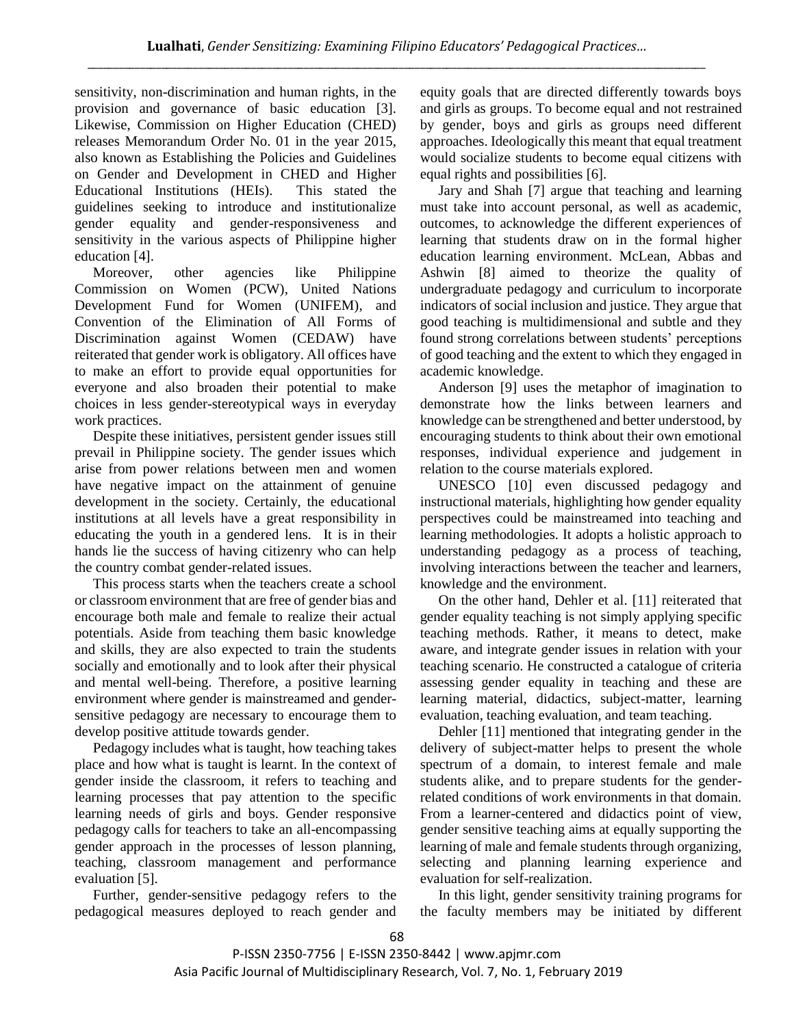sensitivity, non-discrimination and human rights, in the provision and governance of basic education [3]. Likewise, Commission on Higher Education (CHED) releases Memorandum Order No. 01 in the year 2015, also known as Establishing the Policies and Guidelines on Gender and Development in CHED and Higher Educational Institutions (HEIs). This stated the guidelines seeking to introduce and institutionalize gender equality and gender-responsiveness and sensitivity in the various aspects of Philippine higher education [4].

Moreover, other agencies like Philippine Commission on Women (PCW), United Nations Development Fund for Women (UNIFEM), and Convention of the Elimination of All Forms of Discrimination against Women (CEDAW) have reiterated that gender work is obligatory. All offices have to make an effort to provide equal opportunities for everyone and also broaden their potential to make choices in less gender-stereotypical ways in everyday work practices.

Despite these initiatives, persistent gender issues still prevail in Philippine society. The gender issues which arise from power relations between men and women have negative impact on the attainment of genuine development in the society. Certainly, the educational institutions at all levels have a great responsibility in educating the youth in a gendered lens. It is in their hands lie the success of having citizenry who can help the country combat gender-related issues.

This process starts when the teachers create a school or classroom environment that are free of gender bias and encourage both male and female to realize their actual potentials. Aside from teaching them basic knowledge and skills, they are also expected to train the students socially and emotionally and to look after their physical and mental well-being. Therefore, a positive learning environment where gender is mainstreamed and gendersensitive pedagogy are necessary to encourage them to develop positive attitude towards gender.

Pedagogy includes what is taught, how teaching takes place and how what is taught is learnt. In the context of gender inside the classroom, it refers to teaching and learning processes that pay attention to the specific learning needs of girls and boys. Gender responsive pedagogy calls for teachers to take an all-encompassing gender approach in the processes of lesson planning, teaching, classroom management and performance evaluation [5].

Further, gender-sensitive pedagogy refers to the pedagogical measures deployed to reach gender and equity goals that are directed differently towards boys and girls as groups. To become equal and not restrained by gender, boys and girls as groups need different approaches. Ideologically this meant that equal treatment would socialize students to become equal citizens with equal rights and possibilities [6].

Jary and Shah [7] argue that teaching and learning must take into account personal, as well as academic, outcomes, to acknowledge the different experiences of learning that students draw on in the formal higher education learning environment. McLean, Abbas and Ashwin [8] aimed to theorize the quality of undergraduate pedagogy and curriculum to incorporate indicators of social inclusion and justice. They argue that good teaching is multidimensional and subtle and they found strong correlations between students' perceptions of good teaching and the extent to which they engaged in academic knowledge.

Anderson [9] uses the metaphor of imagination to demonstrate how the links between learners and knowledge can be strengthened and better understood, by encouraging students to think about their own emotional responses, individual experience and judgement in relation to the course materials explored.

UNESCO [10] even discussed pedagogy and instructional materials, highlighting how gender equality perspectives could be mainstreamed into teaching and learning methodologies. It adopts a holistic approach to understanding pedagogy as a process of teaching, involving interactions between the teacher and learners, knowledge and the environment.

On the other hand, Dehler et al. [11] reiterated that gender equality teaching is not simply applying specific teaching methods. Rather, it means to detect, make aware, and integrate gender issues in relation with your teaching scenario. He constructed a catalogue of criteria assessing gender equality in teaching and these are learning material, didactics, subject-matter, learning evaluation, teaching evaluation, and team teaching.

Dehler [11] mentioned that integrating gender in the delivery of subject-matter helps to present the whole spectrum of a domain, to interest female and male students alike, and to prepare students for the genderrelated conditions of work environments in that domain. From a learner-centered and didactics point of view, gender sensitive teaching aims at equally supporting the learning of male and female students through organizing, selecting and planning learning experience and evaluation for self-realization.

In this light, gender sensitivity training programs for the faculty members may be initiated by different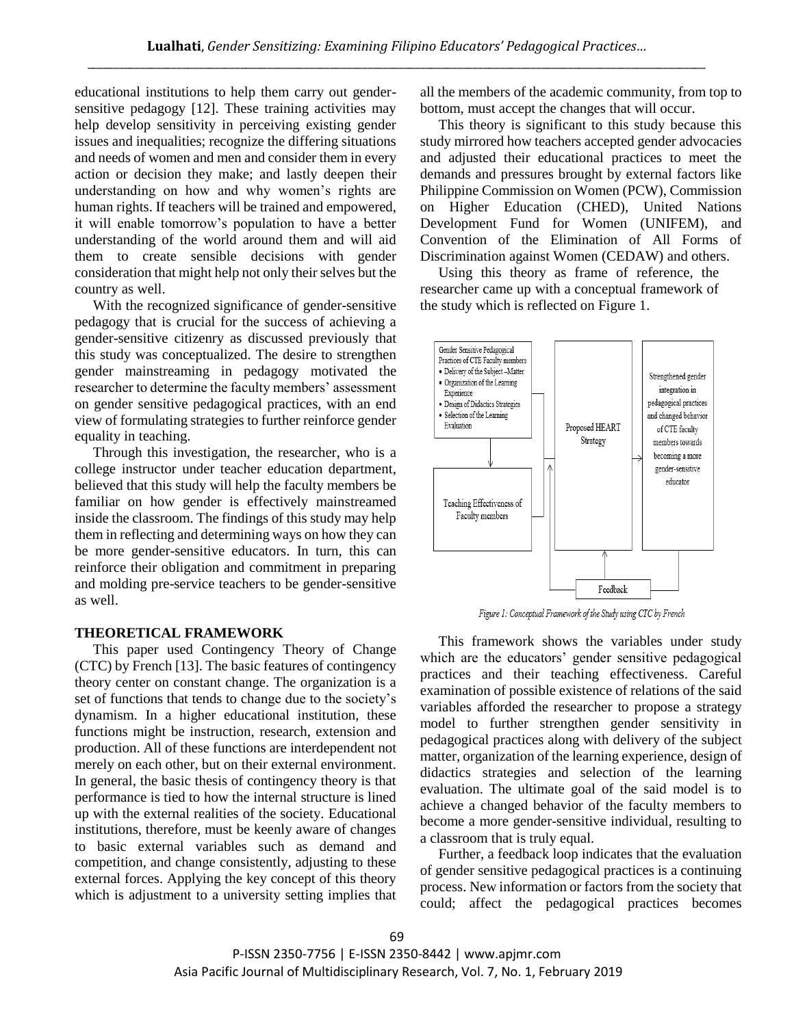educational institutions to help them carry out gendersensitive pedagogy [12]. These training activities may help develop sensitivity in perceiving existing gender issues and inequalities; recognize the differing situations and needs of women and men and consider them in every action or decision they make; and lastly deepen their understanding on how and why women's rights are human rights. If teachers will be trained and empowered, it will enable tomorrow's population to have a better understanding of the world around them and will aid them to create sensible decisions with gender consideration that might help not only their selves but the country as well.

With the recognized significance of gender-sensitive pedagogy that is crucial for the success of achieving a gender-sensitive citizenry as discussed previously that this study was conceptualized. The desire to strengthen gender mainstreaming in pedagogy motivated the researcher to determine the faculty members' assessment on gender sensitive pedagogical practices, with an end view of formulating strategies to further reinforce gender equality in teaching.

Through this investigation, the researcher, who is a college instructor under teacher education department, believed that this study will help the faculty members be familiar on how gender is effectively mainstreamed inside the classroom. The findings of this study may help them in reflecting and determining ways on how they can be more gender-sensitive educators. In turn, this can reinforce their obligation and commitment in preparing and molding pre-service teachers to be gender-sensitive as well.

## **THEORETICAL FRAMEWORK**

This paper used Contingency Theory of Change (CTC) by French [13]. The basic features of contingency theory center on constant change. The organization is a set of functions that tends to change due to the society's dynamism. In a higher educational institution, these functions might be instruction, research, extension and production. All of these functions are interdependent not merely on each other, but on their external environment. In general, the basic thesis of contingency theory is that performance is tied to how the internal structure is lined up with the external realities of the society. Educational institutions, therefore, must be keenly aware of changes to basic external variables such as demand and competition, and change consistently, adjusting to these external forces. Applying the key concept of this theory which is adjustment to a university setting implies that all the members of the academic community, from top to bottom, must accept the changes that will occur.

This theory is significant to this study because this study mirrored how teachers accepted gender advocacies and adjusted their educational practices to meet the demands and pressures brought by external factors like Philippine Commission on Women (PCW), Commission on Higher Education (CHED), United Nations Development Fund for Women (UNIFEM), and Convention of the Elimination of All Forms of Discrimination against Women (CEDAW) and others.

Using this theory as frame of reference, the researcher came up with a conceptual framework of the study which is reflected on Figure 1.



Figure 1: Conceptual Framework of the Study using CTC by French

This framework shows the variables under study which are the educators' gender sensitive pedagogical practices and their teaching effectiveness. Careful examination of possible existence of relations of the said variables afforded the researcher to propose a strategy model to further strengthen gender sensitivity in pedagogical practices along with delivery of the subject matter, organization of the learning experience, design of didactics strategies and selection of the learning evaluation. The ultimate goal of the said model is to achieve a changed behavior of the faculty members to become a more gender-sensitive individual, resulting to a classroom that is truly equal.

Further, a feedback loop indicates that the evaluation of gender sensitive pedagogical practices is a continuing process. New information or factors from the society that could; affect the pedagogical practices becomes

P-ISSN 2350-7756 | E-ISSN 2350-8442 | www.apjmr.com Asia Pacific Journal of Multidisciplinary Research, Vol. 7, No. 1, February 2019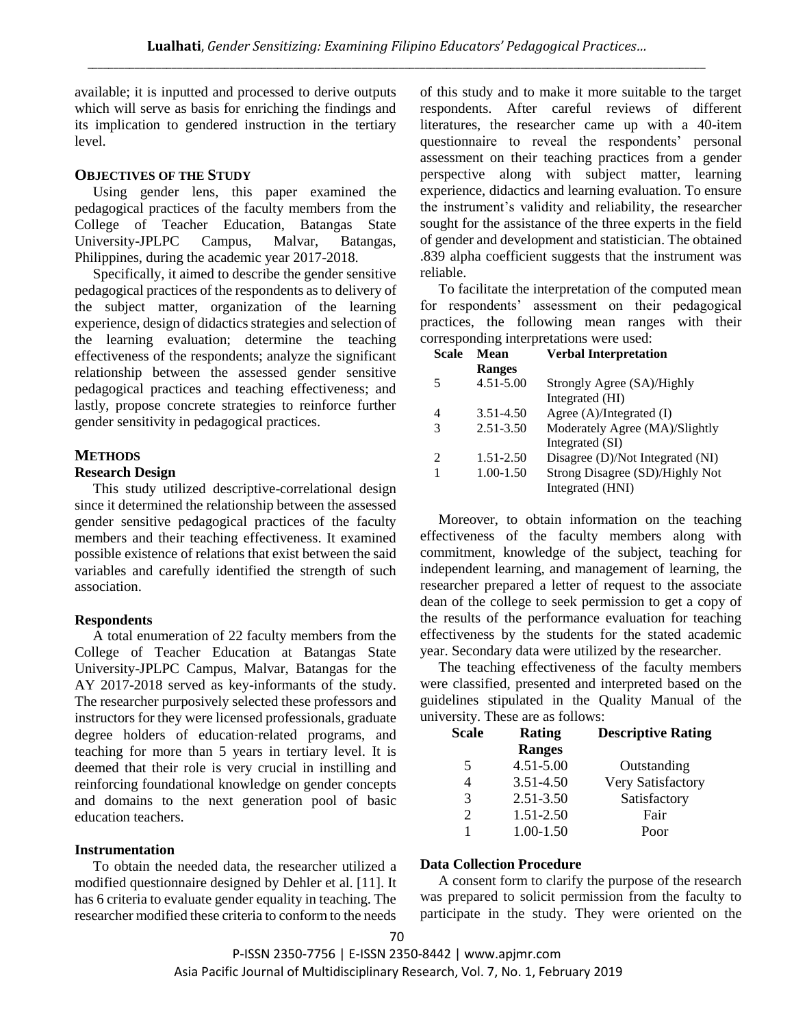available; it is inputted and processed to derive outputs which will serve as basis for enriching the findings and its implication to gendered instruction in the tertiary level.

### **OBJECTIVES OF THE STUDY**

Using gender lens, this paper examined the pedagogical practices of the faculty members from the College of Teacher Education, Batangas State University-JPLPC Campus, Malvar, Batangas, Philippines, during the academic year 2017-2018.

Specifically, it aimed to describe the gender sensitive pedagogical practices of the respondents as to delivery of the subject matter, organization of the learning experience, design of didactics strategies and selection of the learning evaluation; determine the teaching effectiveness of the respondents; analyze the significant relationship between the assessed gender sensitive pedagogical practices and teaching effectiveness; and lastly, propose concrete strategies to reinforce further gender sensitivity in pedagogical practices.

# **METHODS**

#### **Research Design**

This study utilized descriptive-correlational design since it determined the relationship between the assessed gender sensitive pedagogical practices of the faculty members and their teaching effectiveness. It examined possible existence of relations that exist between the said variables and carefully identified the strength of such association.

# **Respondents**

A total enumeration of 22 faculty members from the College of Teacher Education at Batangas State University-JPLPC Campus, Malvar, Batangas for the AY 2017-2018 served as key-informants of the study. The researcher purposively selected these professors and instructors for they were licensed professionals, graduate degree holders of education-related programs, and teaching for more than 5 years in tertiary level. It is deemed that their role is very crucial in instilling and reinforcing foundational knowledge on gender concepts and domains to the next generation pool of basic education teachers.

# **Instrumentation**

To obtain the needed data, the researcher utilized a modified questionnaire designed by Dehler et al. [11]. It has 6 criteria to evaluate gender equality in teaching. The researcher modified these criteria to conform to the needs

of this study and to make it more suitable to the target respondents. After careful reviews of different literatures, the researcher came up with a 40-item questionnaire to reveal the respondents' personal assessment on their teaching practices from a gender perspective along with subject matter, learning experience, didactics and learning evaluation. To ensure the instrument's validity and reliability, the researcher sought for the assistance of the three experts in the field of gender and development and statistician. The obtained .839 alpha coefficient suggests that the instrument was reliable.

To facilitate the interpretation of the computed mean for respondents' assessment on their pedagogical practices, the following mean ranges with their corresponding interpretations were used:

| <b>Scale</b>   | Mean          | <b>Verbal Interpretation</b>     |
|----------------|---------------|----------------------------------|
|                | <b>Ranges</b> |                                  |
| 5              | $4.51 - 5.00$ | Strongly Agree (SA)/Highly       |
|                |               | Integrated (HI)                  |
| 4              | 3.51-4.50     | Agree $(A)/Integrated$ (I)       |
| 3              | $2.51 - 3.50$ | Moderately Agree (MA)/Slightly   |
|                |               | Integrated (SI)                  |
| $\mathfrak{D}$ | $1.51 - 2.50$ | Disagree (D)/Not Integrated (NI) |
|                | $1.00 - 1.50$ | Strong Disagree (SD)/Highly Not  |
|                |               | Integrated (HNI)                 |

Moreover, to obtain information on the teaching effectiveness of the faculty members along with commitment, knowledge of the subject, teaching for independent learning, and management of learning, the researcher prepared a letter of request to the associate dean of the college to seek permission to get a copy of the results of the performance evaluation for teaching effectiveness by the students for the stated academic year. Secondary data were utilized by the researcher.

The teaching effectiveness of the faculty members were classified, presented and interpreted based on the guidelines stipulated in the Quality Manual of the university. These are as follows:

| <b>Scale</b>                | Rating        | <b>Descriptive Rating</b> |
|-----------------------------|---------------|---------------------------|
|                             | <b>Ranges</b> |                           |
| 5                           | $4.51 - 5.00$ | Outstanding               |
| 4                           | 3.51-4.50     | <b>Very Satisfactory</b>  |
| 3                           | 2.51-3.50     | Satisfactory              |
| $\mathcal{D}_{\mathcal{L}}$ | 1.51-2.50     | Fair                      |
|                             | 1.00-1.50     | Poor                      |

# **Data Collection Procedure**

A consent form to clarify the purpose of the research was prepared to solicit permission from the faculty to participate in the study. They were oriented on the

P-ISSN 2350-7756 | E-ISSN 2350-8442 | www.apjmr.com Asia Pacific Journal of Multidisciplinary Research, Vol. 7, No. 1, February 2019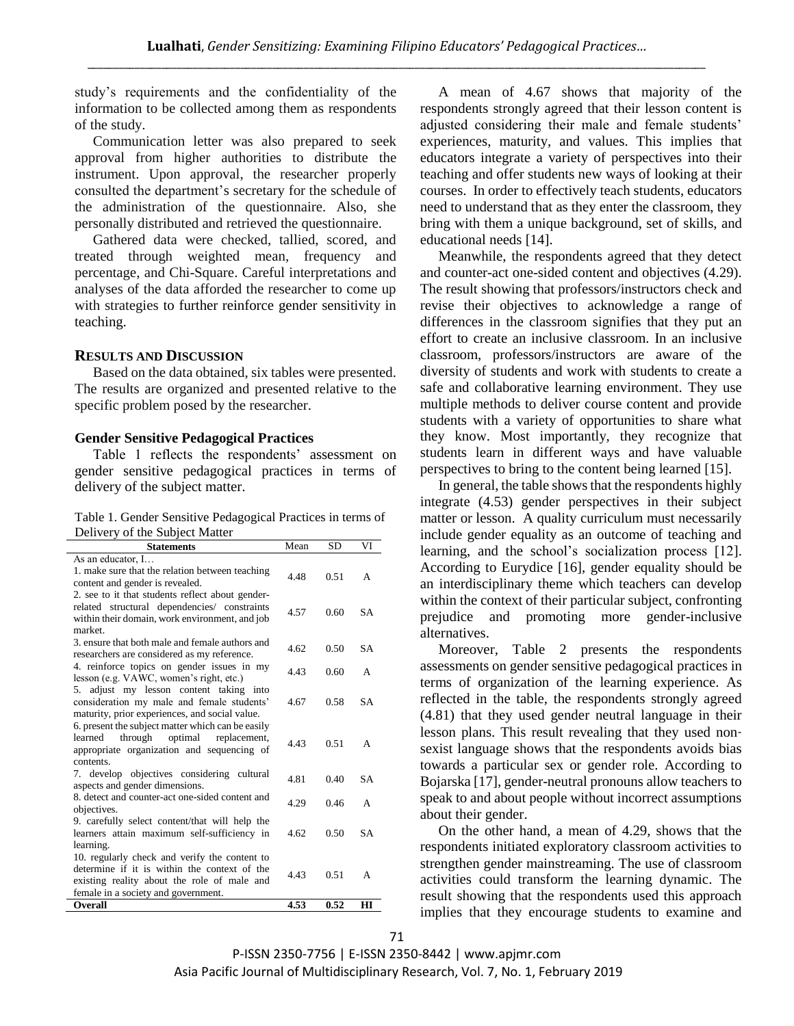study's requirements and the confidentiality of the information to be collected among them as respondents of the study.

Communication letter was also prepared to seek approval from higher authorities to distribute the instrument. Upon approval, the researcher properly consulted the department's secretary for the schedule of the administration of the questionnaire. Also, she personally distributed and retrieved the questionnaire.

Gathered data were checked, tallied, scored, and treated through weighted mean, frequency and percentage, and Chi-Square. Careful interpretations and analyses of the data afforded the researcher to come up with strategies to further reinforce gender sensitivity in teaching.

## **RESULTS AND DISCUSSION**

Based on the data obtained, six tables were presented. The results are organized and presented relative to the specific problem posed by the researcher.

#### **Gender Sensitive Pedagogical Practices**

Table 1 reflects the respondents' assessment on gender sensitive pedagogical practices in terms of delivery of the subject matter.

| Table 1. Gender Sensitive Pedagogical Practices in terms of |
|-------------------------------------------------------------|
| Delivery of the Subject Matter                              |

| $\mathbf{v}$<br>of the bubject matter<br><b>Statements</b>                   | Mean | <b>SD</b> | VI        |
|------------------------------------------------------------------------------|------|-----------|-----------|
| As an educator, I                                                            |      |           |           |
| 1. make sure that the relation between teaching                              | 4.48 | 0.51      | A         |
| content and gender is revealed.                                              |      |           |           |
| 2. see to it that students reflect about gender-                             |      |           |           |
| related structural dependencies/ constraints                                 | 4.57 | 0.60      | <b>SA</b> |
| within their domain, work environment, and job                               |      |           |           |
| market.                                                                      |      |           |           |
| 3, ensure that both male and female authors and                              | 4.62 | 0.50      | <b>SA</b> |
| researchers are considered as my reference.                                  |      |           |           |
| 4. reinforce topics on gender issues in my                                   | 4.43 | 0.60      | A         |
| lesson (e.g. VAWC, women's right, etc.)                                      |      |           |           |
| 5. adjust my lesson content taking into                                      |      |           |           |
| consideration my male and female students'                                   | 4.67 | 0.58      | <b>SA</b> |
| maturity, prior experiences, and social value.                               |      |           |           |
| 6. present the subject matter which can be easily                            |      |           |           |
| through<br>optimal<br>learned<br>replacement,                                | 4.43 | 0.51      | A         |
| appropriate organization and sequencing of<br>contents.                      |      |           |           |
|                                                                              |      |           |           |
| 7. develop objectives considering cultural<br>aspects and gender dimensions. | 4.81 | 0.40      | <b>SA</b> |
| 8. detect and counter-act one-sided content and                              |      |           |           |
| objectives.                                                                  | 4.29 | 0.46      | A         |
| 9. carefully select content/that will help the                               |      |           |           |
| learners attain maximum self-sufficiency in                                  | 4.62 | 0.50      | <b>SA</b> |
| learning.                                                                    |      |           |           |
| 10. regularly check and verify the content to                                |      |           |           |
| determine if it is within the context of the                                 |      |           |           |
| existing reality about the role of male and                                  | 4.43 | 0.51      | A         |
| female in a society and government.                                          |      |           |           |
| Overall                                                                      | 4.53 | 0.52      | HI        |

A mean of 4.67 shows that majority of the respondents strongly agreed that their lesson content is adjusted considering their male and female students' experiences, maturity, and values. This implies that educators integrate a variety of perspectives into their teaching and offer students new ways of looking at their courses. In order to effectively teach students, educators need to understand that as they enter the classroom, they bring with them a unique background, set of skills, and educational needs [14].

Meanwhile, the respondents agreed that they detect and counter-act one-sided content and objectives (4.29). The result showing that professors/instructors check and revise their objectives to acknowledge a range of differences in the classroom signifies that they put an effort to create an inclusive classroom. In an inclusive classroom, professors/instructors are aware of the diversity of students and work with students to create a safe and collaborative learning environment. They use multiple methods to deliver course content and provide students with a variety of opportunities to share what they know. Most importantly, they recognize that students learn in different ways and have valuable perspectives to bring to the content being learned [15].

In general, the table shows that the respondents highly integrate (4.53) gender perspectives in their subject matter or lesson. A quality curriculum must necessarily include gender equality as an outcome of teaching and learning, and the school's socialization process [12]. According to Eurydice [16], gender equality should be an interdisciplinary theme which teachers can develop within the context of their particular subject, confronting prejudice and promoting more gender-inclusive alternatives.

Moreover, Table 2 presents the respondents assessments on gender sensitive pedagogical practices in terms of organization of the learning experience. As reflected in the table, the respondents strongly agreed (4.81) that they used gender neutral language in their lesson plans. This result revealing that they used nonsexist language shows that the respondents avoids bias towards a particular sex or gender role. According to Bojarska [17], gender-neutral pronouns allow teachers to speak to and about people without incorrect assumptions about their gender.

On the other hand, a mean of 4.29, shows that the respondents initiated exploratory classroom activities to strengthen gender mainstreaming. The use of classroom activities could transform the learning dynamic. The result showing that the respondents used this approach implies that they encourage students to examine and

P-ISSN 2350-7756 | E-ISSN 2350-8442 | www.apjmr.com Asia Pacific Journal of Multidisciplinary Research, Vol. 7, No. 1, February 2019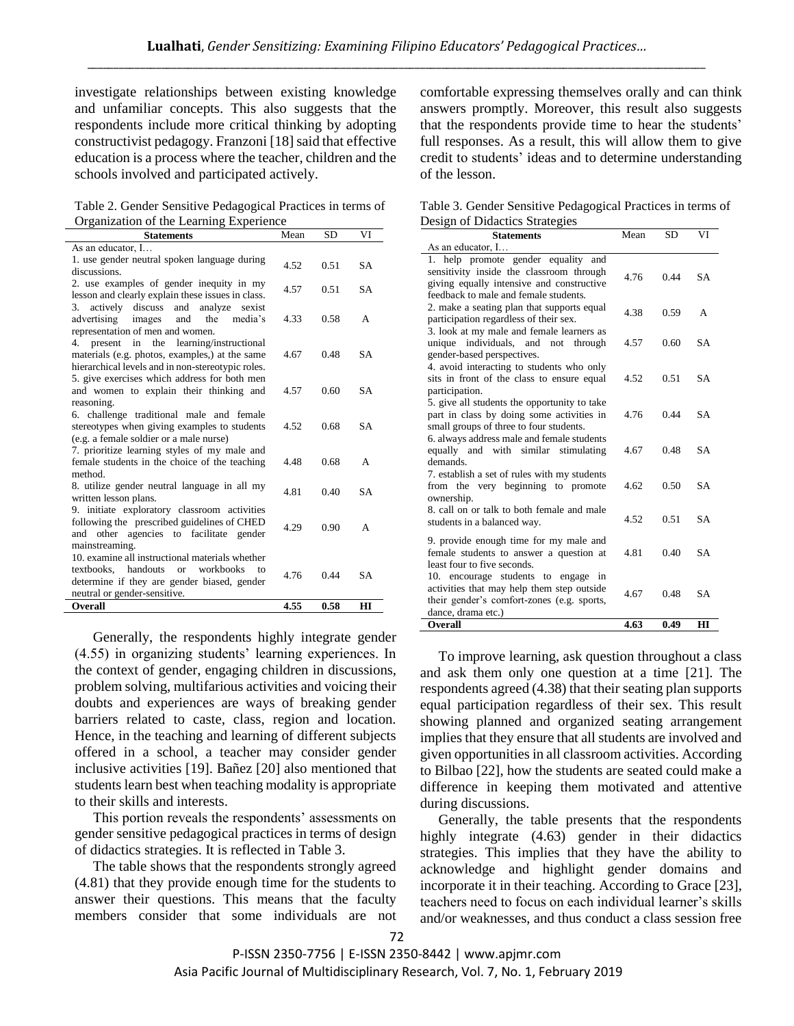investigate relationships between existing knowledge and unfamiliar concepts. This also suggests that the respondents include more critical thinking by adopting constructivist pedagogy. Franzoni [18] said that effective education is a process where the teacher, children and the schools involved and participated actively.

Table 2. Gender Sensitive Pedagogical Practices in terms of Organization of the Learning Experience

| <b>Statements</b>                                                                                                                                                                     | Mean | <b>SD</b> | VI           |
|---------------------------------------------------------------------------------------------------------------------------------------------------------------------------------------|------|-----------|--------------|
| As an educator, I                                                                                                                                                                     |      |           |              |
| 1. use gender neutral spoken language during<br>discussions.                                                                                                                          | 4.52 | 0.51      | <b>SA</b>    |
| 2. use examples of gender inequity in my<br>lesson and clearly explain these issues in class.                                                                                         | 4.57 | 0.51      | <b>SA</b>    |
| actively discuss and<br>analyze<br>sexist<br>3.<br>advertising images<br>and<br>the<br>media's<br>representation of men and women.                                                    | 4.33 | 0.58      | A            |
| present<br>in<br>the<br>learning/instructional<br>4.<br>materials (e.g. photos, examples,) at the same<br>hierarchical levels and in non-stereotypic roles.                           | 4.67 | 0.48      | <b>SA</b>    |
| 5. give exercises which address for both men<br>and women to explain their thinking and<br>reasoning.                                                                                 | 4.57 | 0.60      | <b>SA</b>    |
| 6. challenge traditional male and female<br>stereotypes when giving examples to students<br>(e.g. a female soldier or a male nurse)                                                   | 4.52 | 0.68      | <b>SA</b>    |
| 7. prioritize learning styles of my male and<br>female students in the choice of the teaching<br>method.                                                                              | 4.48 | 0.68      | A            |
| 8. utilize gender neutral language in all my<br>written lesson plans.                                                                                                                 | 4.81 | 0.40      | <b>SA</b>    |
| 9. initiate exploratory classroom activities<br>following the prescribed guidelines of CHED<br>and other agencies to facilitate gender<br>mainstreaming.                              | 4.29 | 0.90      | A            |
| 10. examine all instructional materials whether<br>textbooks, handouts<br>workbooks<br><b>or</b><br>to<br>determine if they are gender biased, gender<br>neutral or gender-sensitive. | 4.76 | 0.44      | <b>SA</b>    |
| <b>Overall</b>                                                                                                                                                                        | 4.55 | 0.58      | $\mathbf{H}$ |

Generally, the respondents highly integrate gender (4.55) in organizing students' learning experiences. In the context of gender, engaging children in discussions, problem solving, multifarious activities and voicing their doubts and experiences are ways of breaking gender barriers related to caste, class, region and location. Hence, in the teaching and learning of different subjects offered in a school, a teacher may consider gender inclusive activities [19]. Bañez [20] also mentioned that students learn best when teaching modality is appropriate to their skills and interests.

This portion reveals the respondents' assessments on gender sensitive pedagogical practices in terms of design of didactics strategies. It is reflected in Table 3.

The table shows that the respondents strongly agreed (4.81) that they provide enough time for the students to answer their questions. This means that the faculty members consider that some individuals are not comfortable expressing themselves orally and can think answers promptly. Moreover, this result also suggests that the respondents provide time to hear the students' full responses. As a result, this will allow them to give credit to students' ideas and to determine understanding of the lesson.

Table 3. Gender Sensitive Pedagogical Practices in terms of Design of Didactics Strategies

| <b>Statements</b>                                                                                                                                                     | Mean | <b>SD</b> | VI             |
|-----------------------------------------------------------------------------------------------------------------------------------------------------------------------|------|-----------|----------------|
| As an educator, I                                                                                                                                                     |      |           |                |
| 1. help promote gender equality and<br>sensitivity inside the classroom through<br>giving equally intensive and constructive<br>feedback to male and female students. | 4.76 | 0.44      | <b>SA</b>      |
| 2. make a seating plan that supports equal<br>participation regardless of their sex.<br>3. look at my male and female learners as                                     | 4.38 | 0.59      | $\overline{A}$ |
| unique individuals, and not through<br>gender-based perspectives.                                                                                                     | 4.57 | 0.60      | <b>SA</b>      |
| 4. avoid interacting to students who only<br>sits in front of the class to ensure equal<br>participation.                                                             | 4.52 | 0.51      | <b>SA</b>      |
| 5. give all students the opportunity to take<br>part in class by doing some activities in<br>small groups of three to four students.                                  | 4.76 | 0.44      | <b>SA</b>      |
| 6. always address male and female students<br>equally and with similar stimulating<br>demands.                                                                        | 4.67 | 0.48      | <b>SA</b>      |
| 7. establish a set of rules with my students<br>from the very beginning to promote<br>ownership.                                                                      | 4.62 | 0.50      | <b>SA</b>      |
| 8. call on or talk to both female and male<br>students in a balanced way.                                                                                             | 4.52 | 0.51      | <b>SA</b>      |
| 9. provide enough time for my male and<br>female students to answer a question at<br>least four to five seconds.                                                      | 4.81 | 0.40      | <b>SA</b>      |
| 10. encourage students to engage in<br>activities that may help them step outside<br>their gender's comfort-zones (e.g. sports,<br>dance, drama etc.)                 | 4.67 | 0.48      | <b>SA</b>      |
| <b>Overall</b>                                                                                                                                                        | 4.63 | 0.49      | HI             |

To improve learning, ask question throughout a class and ask them only one question at a time [21]. The respondents agreed (4.38) that their seating plan supports equal participation regardless of their sex. This result showing planned and organized seating arrangement implies that they ensure that all students are involved and given opportunities in all classroom activities. According to Bilbao [22], how the students are seated could make a difference in keeping them motivated and attentive during discussions.

Generally, the table presents that the respondents highly integrate (4.63) gender in their didactics strategies. This implies that they have the ability to acknowledge and highlight gender domains and incorporate it in their teaching. According to Grace [23], teachers need to focus on each individual learner's skills and/or weaknesses, and thus conduct a class session free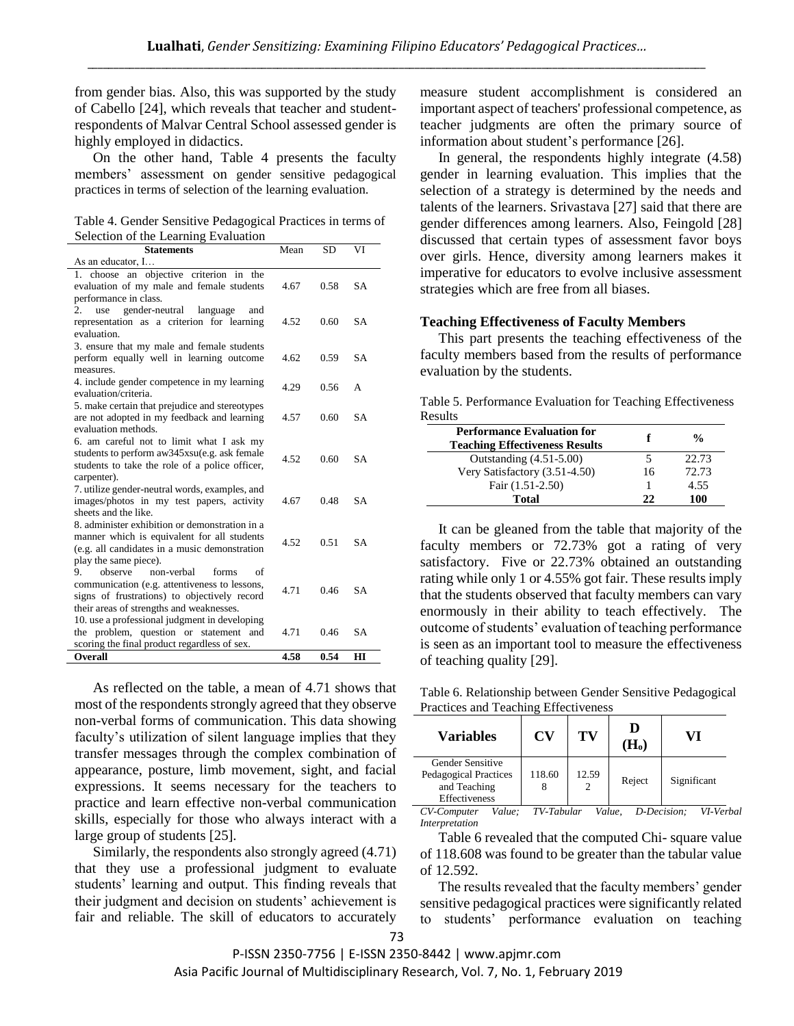from gender bias. Also, this was supported by the study of Cabello [24], which reveals that teacher and studentrespondents of Malvar Central School assessed gender is highly employed in didactics.

On the other hand, Table 4 presents the faculty members' assessment on gender sensitive pedagogical practices in terms of selection of the learning evaluation.

Table 4. Gender Sensitive Pedagogical Practices in terms of Selection of the Learning Evaluation

| <b>Statements</b>                              | Mean | <b>SD</b> | VI        |
|------------------------------------------------|------|-----------|-----------|
| As an educator, I                              |      |           |           |
| 1. choose an objective criterion in the        |      |           |           |
| evaluation of my male and female students      | 4.67 | 0.58      | <b>SA</b> |
| performance in class.                          |      |           |           |
| gender-neutral<br>2.<br>use<br>language<br>and |      |           |           |
| representation as a criterion for learning     | 4.52 | 0.60      | <b>SA</b> |
| evaluation.                                    |      |           |           |
| 3. ensure that my male and female students     |      |           |           |
| perform equally well in learning outcome       | 4.62 | 0.59      | <b>SA</b> |
| measures.                                      |      |           |           |
| 4. include gender competence in my learning    | 4.29 | 0.56      | A         |
| evaluation/criteria.                           |      |           |           |
| 5. make certain that prejudice and stereotypes |      |           |           |
| are not adopted in my feedback and learning    | 4.57 | 0.60      | <b>SA</b> |
| evaluation methods.                            |      |           |           |
| 6. am careful not to limit what I ask my       |      |           |           |
| students to perform aw345xsu(e.g. ask female   | 4.52 | 0.60      | <b>SA</b> |
| students to take the role of a police officer, |      |           |           |
| carpenter).                                    |      |           |           |
| 7. utilize gender-neutral words, examples, and |      |           |           |
| images/photos in my test papers, activity      | 4.67 | 0.48      | <b>SA</b> |
| sheets and the like.                           |      |           |           |
| 8. administer exhibition or demonstration in a |      |           |           |
| manner which is equivalent for all students    | 4.52 | 0.51      | <b>SA</b> |
| (e.g. all candidates in a music demonstration  |      |           |           |
| play the same piece).                          |      |           |           |
| 9.<br>observe<br>non-verbal<br>forms<br>of     |      |           |           |
| communication (e.g. attentiveness to lessons,  | 4.71 | 0.46      | <b>SA</b> |
| signs of frustrations) to objectively record   |      |           |           |
| their areas of strengths and weaknesses.       |      |           |           |
| 10. use a professional judgment in developing  |      |           |           |
| the problem, question or statement and         | 4.71 | 0.46      | <b>SA</b> |
| scoring the final product regardless of sex.   |      |           |           |
| <b>Overall</b>                                 | 4.58 | 0.54      | HІ        |

As reflected on the table, a mean of 4.71 shows that most of the respondents strongly agreed that they observe non-verbal forms of communication. This data showing faculty's utilization of silent language implies that they transfer messages through the complex combination of appearance, posture, limb movement, sight, and facial expressions. It seems necessary for the teachers to practice and learn effective non-verbal communication skills, especially for those who always interact with a large group of students [25].

Similarly, the respondents also strongly agreed (4.71) that they use a professional judgment to evaluate students' learning and output. This finding reveals that their judgment and decision on students' achievement is fair and reliable. The skill of educators to accurately

measure student accomplishment is considered an important aspect of teachers' professional competence, as teacher judgments are often the primary source of information about student's performance [26].

In general, the respondents highly integrate (4.58) gender in learning evaluation. This implies that the selection of a strategy is determined by the needs and talents of the learners. Srivastava [27] said that there are gender differences among learners. Also, Feingold [28] discussed that certain types of assessment favor boys over girls. Hence, diversity among learners makes it imperative for educators to evolve inclusive assessment strategies which are free from all biases.

#### **Teaching Effectiveness of Faculty Members**

This part presents the teaching effectiveness of the faculty members based from the results of performance evaluation by the students.

Table 5. Performance Evaluation for Teaching Effectiveness Results

| <b>Performance Evaluation for</b><br><b>Teaching Effectiveness Results</b> |    | $\frac{0}{\alpha}$ |
|----------------------------------------------------------------------------|----|--------------------|
| Outstanding $(4.51-5.00)$                                                  | 5  | 22.73              |
| Very Satisfactory (3.51-4.50)                                              | 16 | 72.73              |
| Fair (1.51-2.50)                                                           |    | 4.55               |
| Total                                                                      | 22 | 100                |

It can be gleaned from the table that majority of the faculty members or 72.73% got a rating of very satisfactory. Five or 22.73% obtained an outstanding rating while only 1 or 4.55% got fair. These results imply that the students observed that faculty members can vary enormously in their ability to teach effectively. The outcome of students' evaluation of teaching performance is seen as an important tool to measure the effectiveness of teaching quality [29].

Table 6. Relationship between Gender Sensitive Pedagogical Practices and Teaching Effectiveness

| <b>Variables</b>                                                                         | CV     | TV    | D<br>$H_{o}$ |             |
|------------------------------------------------------------------------------------------|--------|-------|--------------|-------------|
| <b>Gender Sensitive</b><br>Pedagogical Practices<br>and Teaching<br><b>Effectiveness</b> | 118.60 | 12.59 | Reject       | Significant |

*CV-Computer Value; TV-Tabular Value, D-Decision; VI-Verbal Interpretation*

Table 6 revealed that the computed Chi- square value of 118.608 was found to be greater than the tabular value of 12.592.

The results revealed that the faculty members' gender sensitive pedagogical practices were significantly related to students' performance evaluation on teaching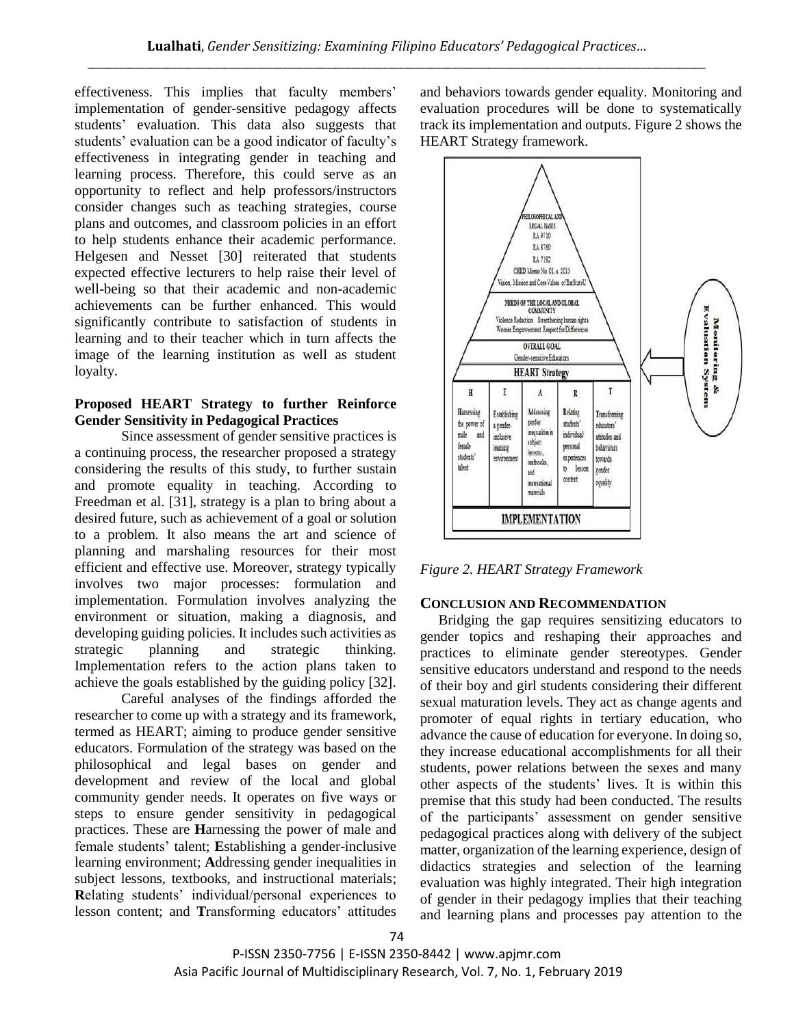effectiveness. This implies that faculty members' implementation of gender-sensitive pedagogy affects students' evaluation. This data also suggests that students' evaluation can be a good indicator of faculty's effectiveness in integrating gender in teaching and learning process. Therefore, this could serve as an opportunity to reflect and help professors/instructors consider changes such as teaching strategies, course plans and outcomes, and classroom policies in an effort to help students enhance their academic performance. Helgesen and Nesset [30] reiterated that students expected effective lecturers to help raise their level of well-being so that their academic and non-academic achievements can be further enhanced. This would significantly contribute to satisfaction of students in learning and to their teacher which in turn affects the image of the learning institution as well as student loyalty.

## **Proposed HEART Strategy to further Reinforce Gender Sensitivity in Pedagogical Practices**

Since assessment of gender sensitive practices is a continuing process, the researcher proposed a strategy considering the results of this study, to further sustain and promote equality in teaching. According to Freedman et al. [31], strategy is a plan to bring about a desired future, such as achievement of a goal or solution to a problem. It also means the art and science of planning and marshaling resources for their most efficient and effective use. Moreover, strategy typically involves two major processes: formulation and implementation. Formulation involves analyzing the environment or situation, making a diagnosis, and developing guiding policies. It includes such activities as strategic planning and strategic thinking. Implementation refers to the action plans taken to achieve the goals established by the guiding policy [32].

Careful analyses of the findings afforded the researcher to come up with a strategy and its framework, termed as HEART; aiming to produce gender sensitive educators. Formulation of the strategy was based on the philosophical and legal bases on gender and development and review of the local and global community gender needs. It operates on five ways or steps to ensure gender sensitivity in pedagogical practices. These are **H**arnessing the power of male and female students' talent; **E**stablishing a gender-inclusive learning environment; **A**ddressing gender inequalities in subject lessons, textbooks, and instructional materials; **R**elating students' individual/personal experiences to lesson content; and **T**ransforming educators' attitudes

and behaviors towards gender equality. Monitoring and evaluation procedures will be done to systematically track its implementation and outputs. Figure 2 shows the HEART Strategy framework.



*Figure 2. HEART Strategy Framework*

#### **CONCLUSION AND RECOMMENDATION**

Bridging the gap requires sensitizing educators to gender topics and reshaping their approaches and practices to eliminate gender stereotypes. Gender sensitive educators understand and respond to the needs of their boy and girl students considering their different sexual maturation levels. They act as change agents and promoter of equal rights in tertiary education, who advance the cause of education for everyone. In doing so, they increase educational accomplishments for all their students, power relations between the sexes and many other aspects of the students' lives. It is within this premise that this study had been conducted. The results of the participants' assessment on gender sensitive pedagogical practices along with delivery of the subject matter, organization of the learning experience, design of didactics strategies and selection of the learning evaluation was highly integrated. Their high integration of gender in their pedagogy implies that their teaching and learning plans and processes pay attention to the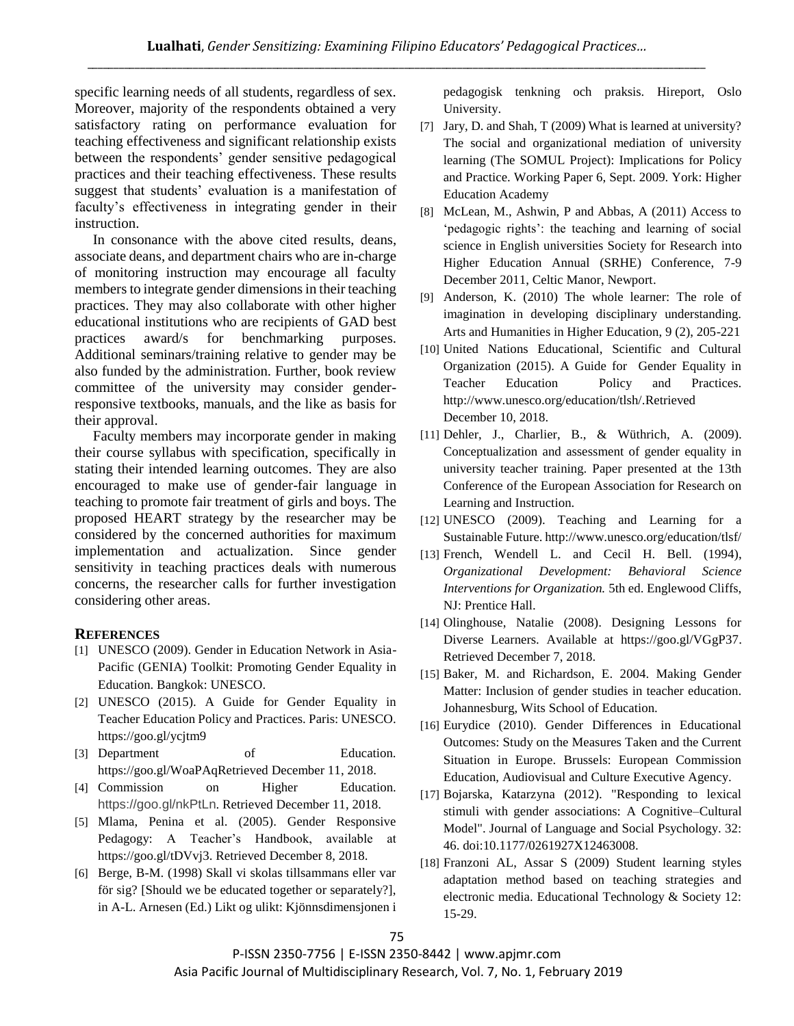specific learning needs of all students, regardless of sex. Moreover, majority of the respondents obtained a very satisfactory rating on performance evaluation for teaching effectiveness and significant relationship exists between the respondents' gender sensitive pedagogical practices and their teaching effectiveness. These results suggest that students' evaluation is a manifestation of faculty's effectiveness in integrating gender in their instruction.

In consonance with the above cited results, deans, associate deans, and department chairs who are in-charge of monitoring instruction may encourage all faculty members to integrate gender dimensions in their teaching practices. They may also collaborate with other higher educational institutions who are recipients of GAD best practices award/s for benchmarking purposes. Additional seminars/training relative to gender may be also funded by the administration. Further, book review committee of the university may consider genderresponsive textbooks, manuals, and the like as basis for their approval.

Faculty members may incorporate gender in making their course syllabus with specification, specifically in stating their intended learning outcomes. They are also encouraged to make use of gender-fair language in teaching to promote fair treatment of girls and boys. The proposed HEART strategy by the researcher may be considered by the concerned authorities for maximum implementation and actualization. Since gender sensitivity in teaching practices deals with numerous concerns, the researcher calls for further investigation considering other areas.

# **REFERENCES**

- [1] UNESCO (2009). Gender in Education Network in Asia-Pacific (GENIA) Toolkit: Promoting Gender Equality in Education. Bangkok: UNESCO.
- [2] UNESCO (2015). A Guide for Gender Equality in Teacher Education Policy and Practices. Paris: UNESCO. https://goo.gl/ycjtm9
- [3] Department of Education. https://goo.gl/WoaPAqRetrieved December 11, 2018.
- [4] Commission on Higher Education. https://goo.gl/nkPtLn. Retrieved December 11, 2018.
- [5] Mlama, Penina et al. (2005). Gender Responsive Pedagogy: A Teacher's Handbook, available at https://goo.gl/tDVvj3. Retrieved December 8, 2018.
- [6] Berge, B-M. (1998) Skall vi skolas tillsammans eller var för sig? [Should we be educated together or separately?], in A-L. Arnesen (Ed.) Likt og ulikt: Kjönnsdimensjonen i

pedagogisk tenkning och praksis. Hireport, Oslo University.

- [7] Jary, D. and Shah, T (2009) What is learned at university? The social and organizational mediation of university learning (The SOMUL Project): Implications for Policy and Practice. Working Paper 6, Sept. 2009. York: Higher Education Academy
- [8] McLean, M., Ashwin, P and Abbas, A (2011) Access to 'pedagogic rights': the teaching and learning of social science in English universities Society for Research into Higher Education Annual (SRHE) Conference, 7-9 December 2011, Celtic Manor, Newport.
- [9] Anderson, K. (2010) The whole learner: The role of imagination in developing disciplinary understanding. Arts and Humanities in Higher Education, 9 (2), 205-221
- [10] United Nations Educational, Scientific and Cultural Organization (2015). A Guide for Gender Equality in Teacher Education Policy and Practices. http://www.unesco.org/education/tlsh/.Retrieved December 10, 2018.
- [11] Dehler, J., Charlier, B., & Wüthrich, A. (2009). Conceptualization and assessment of gender equality in university teacher training. Paper presented at the 13th Conference of the European Association for Research on Learning and Instruction.
- [12] UNESCO (2009). Teaching and Learning for a Sustainable Future. http://www.unesco.org/education/tlsf/
- [13] French, Wendell L. and Cecil H. Bell. (1994), *Organizational Development: Behavioral Science Interventions for Organization.* 5th ed. Englewood Cliffs, NJ: Prentice Hall.
- [14] Olinghouse, Natalie (2008). Designing Lessons for Diverse Learners. Available at https://goo.gl/VGgP37. Retrieved December 7, 2018.
- [15] Baker, M. and Richardson, E. 2004. Making Gender Matter: Inclusion of gender studies in teacher education. Johannesburg, Wits School of Education.
- [16] Eurydice (2010). Gender Differences in Educational Outcomes: Study on the Measures Taken and the Current Situation in Europe. Brussels: European Commission Education, Audiovisual and Culture Executive Agency.
- [17] Bojarska, Katarzyna (2012). "Responding to lexical stimuli with gender associations: A Cognitive–Cultural Model". Journal of Language and Social Psychology. 32: 46. doi:10.1177/0261927X12463008.
- [18] Franzoni AL, Assar S (2009) Student learning styles adaptation method based on teaching strategies and electronic media. Educational Technology & Society 12: 15-29.

P-ISSN 2350-7756 | E-ISSN 2350-8442 | www.apjmr.com